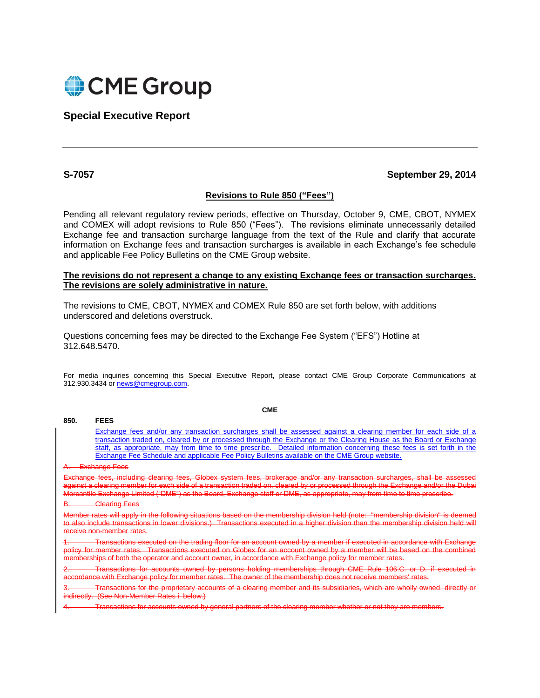

**Special Executive Report**

# **S-7057 September 29, 2014**

## **Revisions to Rule 850 ("Fees")**

Pending all relevant regulatory review periods, effective on Thursday, October 9, CME, CBOT, NYMEX and COMEX will adopt revisions to Rule 850 ("Fees"). The revisions eliminate unnecessarily detailed Exchange fee and transaction surcharge language from the text of the Rule and clarify that accurate information on Exchange fees and transaction surcharges is available in each Exchange's fee schedule and applicable Fee Policy Bulletins on the CME Group website.

## **The revisions do not represent a change to any existing Exchange fees or transaction surcharges. The revisions are solely administrative in nature.**

The revisions to CME, CBOT, NYMEX and COMEX Rule 850 are set forth below, with additions underscored and deletions overstruck.

Questions concerning fees may be directed to the Exchange Fee System ("EFS") Hotline at 312.648.5470.

For media inquiries concerning this Special Executive Report, please contact CME Group Corporate Communications at 312.930.3434 o[r news@cmegroup.com.](mailto:news@cmegroup.com)

**CME**

Exchange fees and/or any transaction surcharges shall be assessed against a clearing member for each side of a transaction traded on, cleared by or processed through the Exchange or the Clearing House as the Board or Exchange staff, as appropriate, may from time to time prescribe. Detailed information concerning these fees is set forth in the Exchange Fee Schedule and applicable Fee Policy Bulletins available on the CME Group website.

A. Exchange Fees

**850. FEES**

including clearing fees, Globex system fees, brokerage and/or any transaction surcharges, including the assess against a clearing member for each side of a transaction traded on, cleared by or processed through the Exchange and/or the Dubai Mercantile Exchange Limited ("DME") as the Board, Exchange staff or DME, as appropriate, may from time to time prescribe.

**Clearing Fees** 

or rates will apply in the following situations based on the membership division held (note: "membership division<br>Dipolude transactions in Jower divisions ). Transactions executed in a bigher division than the membership d actions in lower divisions.) Transactions executed in a higher division than the membership division held will receive non-member rates.

actions executed on the trading floor for an account owned by a member if executed<br>per rates ... Transactions executed on Globey for an account owned by a member w tions executed on Globex for an account owned by a member will be based on the combined on the combined on the combined on the combined on the combined on the combined on the combined on the combined on the combined on the erships of both the operator and account owner, in accordance with Exchange policy for member rates.

holding memberships through CME Rule 106.C. or D. if executed in fance with Exchange policy for member rates. The owner of the membe

clearing member and its subsidiaries, which are wholly owned, directly or indirectly. (See Non-Member Rates i. below.)

Transactions for accounts owned by general partners of the clearing member whether or not they are members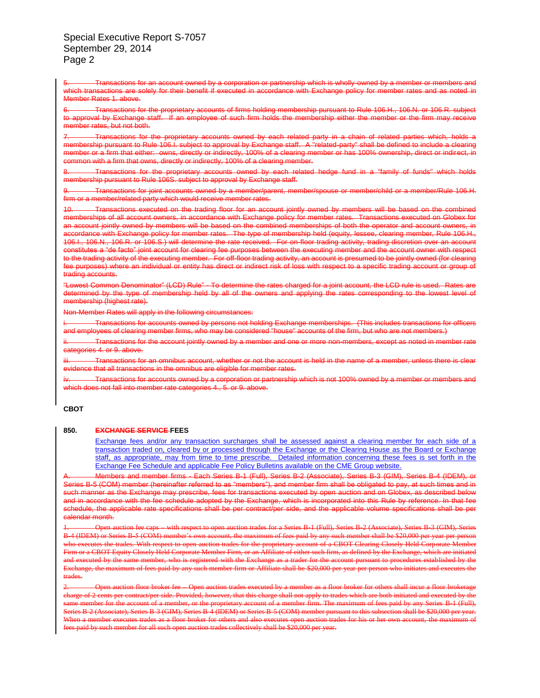Special Executive Report S-7057 September 29, 2014 Page 2

| which transactions are solely for their benefit if executed in accordance with Exchange policy for member rates and as noted in<br>Member Rates 1, above                                                                                                                                                                                                                                                                                                                                                                                                                                                                                                                                                                                                                                                                                                                                                                                                                                                                                                                                                     |
|--------------------------------------------------------------------------------------------------------------------------------------------------------------------------------------------------------------------------------------------------------------------------------------------------------------------------------------------------------------------------------------------------------------------------------------------------------------------------------------------------------------------------------------------------------------------------------------------------------------------------------------------------------------------------------------------------------------------------------------------------------------------------------------------------------------------------------------------------------------------------------------------------------------------------------------------------------------------------------------------------------------------------------------------------------------------------------------------------------------|
| 6. Transactions for the proprietary accounts of firms holding membership pursuant to Rule 106.H., 106.N. or 106.R. subject<br>to approval by Exchange staff. If an employee of such firm holds the membership either the member or the firm may receive<br>member rates, but not both.                                                                                                                                                                                                                                                                                                                                                                                                                                                                                                                                                                                                                                                                                                                                                                                                                       |
| Transactions for the proprietary accounts owned by each related party in a chain of related parties which, holds a<br>7<br>membership pursuant to Rule 106.I. subject to approval by Exchange staff. A "related-party" shall be defined to include a clearing<br>member or a firm that either: owns, directly or indirectly, 100% of a clearing member or has 100% ownership, direct or indirect, in<br>common with a firm that owns, directly or indirectly, 100% of a clearing member.                                                                                                                                                                                                                                                                                                                                                                                                                                                                                                                                                                                                                     |
| Transactions for the proprietary accounts owned by each related hedge fund in a "family of funds" which holds<br>8.<br>membership pursuant to Rule 106S. subject to approval by Exchange staff.                                                                                                                                                                                                                                                                                                                                                                                                                                                                                                                                                                                                                                                                                                                                                                                                                                                                                                              |
| Transactions for joint accounts owned by a member/parent, member/spouse or member/child or a member/Rule 106.H.<br>firm or a member/related party which would receive member rates.                                                                                                                                                                                                                                                                                                                                                                                                                                                                                                                                                                                                                                                                                                                                                                                                                                                                                                                          |
| Transactions executed on the trading floor for an account jointly owned by members will be based on the combined<br>10.<br>memberships of all account owners, in accordance with Exchange policy for member rates. Transactions executed on Globex for<br>an account jointly owned by members will be based on the combined memberships of both the operator and account owners, in<br>accordance with Exchange policy for member rates. The type of membership held (equity, lessee, clearing member, Rule 106.H.,<br>106.I., 106.N., 106.R. or 106.S.) will determine the rate received. For on-floor trading activity, trading discretion over an account<br>constitutes a "de facto" joint account for clearing fee purposes between the executing member and the account owner with respect<br>to the trading activity of the executing member. For off-floor trading activity, an account is presumed to be jointly owned (for clearing<br>fee purposes) where an individual or entity has direct or indirect risk of loss with respect to a specific trading account or group of<br>trading accounts. |
| "Lowest Common Denominator" (LCD) Rule" - To determine the rates charged for a joint account, the LCD rule is used. Rates are<br>determined by the type of membership held by all of the owners and applying the rates corresponding to the lowest level of<br>membership (highest rate).                                                                                                                                                                                                                                                                                                                                                                                                                                                                                                                                                                                                                                                                                                                                                                                                                    |

Transactions for an account owned by a corporation or partnership which is wholly-owned by a member or members and

nber Rates will apply in the following circumstances:

for accounts owned by persons not holding Exchange memberships. (This includes transactions for officers and employees of clearing member firms, who may be considered "house" accounts of the firm, but who are not members.)

Transactions for the account jointly owned by a member and one or more non-members, except as noted in member rate s 4. or 9. above.

Transactions for an omnibus account, whether or not the account is held in the name of a member, unless there is clear that all transactions in the omnibus are eligible for member rates.

Transactions for accounts owned by a corporation or partnership which is not 100% owned by a member or members and es not fall into member rate categories 4., 5. or 9. above.

### **CBOT**

### **850. EXCHANGE SERVICE FEES**

Exchange fees and/or any transaction surcharges shall be assessed against a clearing member for each side of a transaction traded on, cleared by or processed through the Exchange or the Clearing House as the Board or Exchange staff, as appropriate, may from time to time prescribe. Detailed information concerning these fees is set forth in the Exchange Fee Schedule and applicable Fee Policy Bulletins available on the CME Group website.

and member firms - Each Series B-1 (Full), Series B-2 (Associate), Series B-3 (GIM), Series B-4 (IDEM) Series B-5 (COM) member (hereinafter referred to as "members"), and member firm shall be obligated to pay, at such times and in such manner as the Exchange may prescribe, fees for transactions executed by open auction and on Globex, as described below and in accordance with the fee schedule adopted by the Exchange, which is incorporated into this Rule by reference. In that fee schedule, the applicable rate specifications shall be per contract/per side, and the applicable volume specifications shall be per calendar month.

1. Open auction fee caps – with respect to open auction trades for a Series B-1 (Full), Series B-2 (Associate), Series B-3 (GIM), Series B-4 (IDEM) or Series B-5 (COM) member's own account, the maximum of fees paid by any such member shall be \$20,000 per year per person executes the trades. With respect to open auction trades for the proprietary account of a CBOT Clearing Closely Held Corporate Member Firm or a CBOT Equity Closely Held Corporate Member Firm, or an Affiliate of either such firm, as defined by the Exchange, which are initiated and executed by the same member, who is registered with the Exchange as a trader for the account pursuant to procedures established by the Exchange, the maximum of fees paid by any such member firm or Affiliate shall be \$2 .<br>By aximum of fees paid by any such member firm or Affiliate shall be \$20,000 per year per person who initiates trades.

Open auction floor broker fee – Open auction trades executed by a member as a floor broker for others shall incur a floor bro charge of 2 cents per contract/per side. Provided, however, that this charge shall not apply to trades which are both initiated and executed by the same member for the account of a member, or the proprietary account of a member firm. The maximum of fees paid by any Series B-1 (Full), Series B-2 (Associate), Series B-3 (GIM), Series B-4 (IDEM) or Series B-5 (COM) member pursuant to this subsection shall be \$20,000 per year. en a member executes trades as a floor broker for others and also executes open auction trades for his or her own account, the maximum of paid by such member for all such open auction trades collectively shall be \$20,000 per year.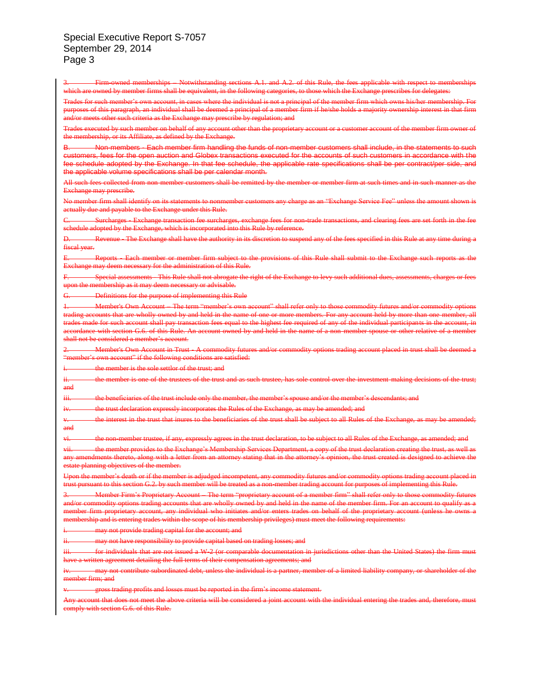Special Executive Report S-7057 September 29, 2014 Page 3

Firm-owned memberships – Notwithstanding sections A.1. and A.2. of this Rule, the fees applicable with respect to membership which are owned by member firms shall be equivalent, in the following categories, to those which the Exchange prescribes for delegates: Trades for such member's own account, in cases where the individual is not a principal of the member firm which owns his/her membership. For purposes of this paragraph, an individual shall be deemed a principal of a member firm if he/she holds a majority ownership interest in that firm eria as the Exchange may prescribe by regulation; Trades executed by such member on behalf of any account other than the proprietary account or a customer account of the member firm owner of the membership, or its Affiliate, as defined by the Non-members - Each member firm handling the funds of non-member customers shall include, in the statements to such ers, fees for the open auction and Globex transactions executed for the accounts of such customers in accordance with the fee schedule adopted by the Exchange. In that fee schedule, the applicable rate specifications shall be per contract/per side, and the applicable volume specifications shall be per calendar month. All such fees collected from non-member customers shall be remitted by the member or member firm at such times and in such manner as the ehange may prescribe. No member firm shall identify on its statements to nonmember customers any charge as an "Exchange Service Fee" unless the amount shown ally due and payable to the Exchange under this Rule. Surcharges - Exchange transaction fee surcharges, exchange fees for non-trade transactions, and clearing fees are set forth in the fee dule adopted by the Exchange, which is incorporated into this Rule by reference. Revenue - The Exchange shall have the authority in its discretion to suspend any of the fees specified in this Rule at any time during fiscal year. Reports - Each member or member firm subject to the provisions of this Rule shall submit to the Exchange such reports as the hange may deem necessary for the administration of this Rule. Special assessments - This Rule shall not abrogate the right of the Exchange to levy such additional dues, assessments, charges or fees n the membership as it may deem necessary or advisable. **Definitions for the purpose of implementing this Rule** 1. Member's Own Account – The term "member's own account" shall refer only to those commodity futures and/or commodity options trading accounts that are wholly owned by and held in the name of one or more members. For any account held by more than one member, all made for such account shall pay transaction fees equal to the highest fee required of any of the individual participants in the account, in with section G.6. of this Rule. An account owned by and held in the name of a non-member spouse or other relative shall not be considered a member's account. 2. Member's Own Account in Trust - A commodity futures and/or commodity options trading account placed in trust shall be deemed a "member's own account" if the following conditions are satisfied: the member is the sole settlor of the trust; and the member is one of the trustees of the trust and as such trustee, has sole control over the investment-making decisions of the trust; and iii. the beneficiaries of the trust include only the member, the member's spouse and/or the member's descent the trust declaration expressly incorporates the Rules of the Exchange, as may be amended; and the interest in the trust that inures to the beneficiaries of the trust shall be subject to all Rules of the Exchange, as may be amended; and vi. the non-member trustee, if any, expressly agrees in the trust declaration, to be subject to all Rules of the Exchange, as amended; and vii. the member provides to the Exchange's Membership Services Department, a copy of the trust declaration creating the trust, as well as endments thereto, along with a letter from an attorney stating that in the attorney's opinion, the trust created is designed to achieve the planning objectives of the member. the member's death or if the member is adjudged incompetent, any commodity futures and/or commodity options trading account trust pursuant to this section G.2. by such member will be treated as a non-member trading account for purposes of implementing this Rule. 3. Member Firm's Proprietary Account – The term "proprietary account of a member firm" shall refer only to those commodity futures and/or commodity options trading accounts that are wholly owned by and held in the name of the member firm. For an account to qualify as a member firm proprietary account, any individual who initiates and/or enters trades on behalf of the proprietary account (unless he owns a membership and is entering trades within the scope of his membership privileges) must meet the following requireme may not provide trading capital for the account; and may not have responsibility to provide capital based on trading losses; and for individuals that are not issued a W-2 (or comparable documentation in jurisdictions other than the United States) the firm m written agreement detailing the full terms of their compensation agreements; and may not contribute subordinated debt, unless the individual is a partner, member of a limited liability company, or shareholder of the er firm; and

gross trading profits and losses must be reported in the firm's income statement.

account that does not meet the above criteria will be considered a joint account with the individual entering the trades and, therefore, must comply with section G.6. of this Rule.